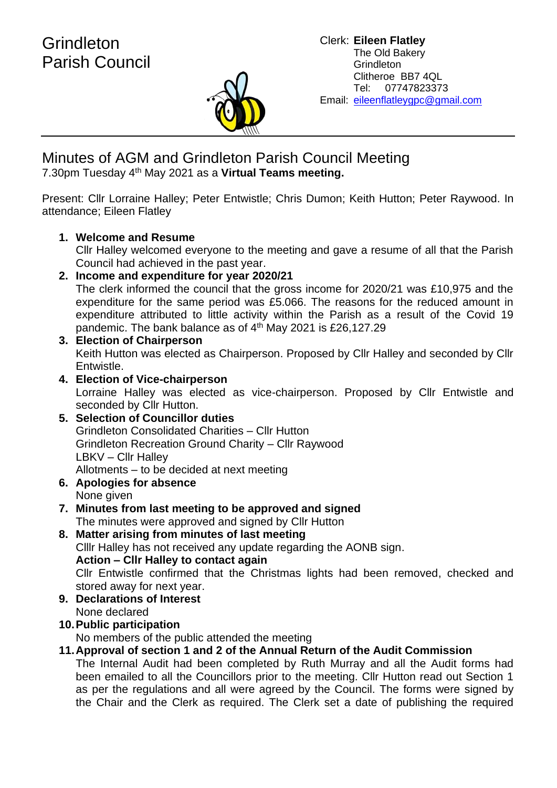

Minutes of AGM and Grindleton Parish Council Meeting 7.30pm Tuesday 4th May 2021 as a **Virtual Teams meeting.**

Present: Cllr Lorraine Halley; Peter Entwistle; Chris Dumon; Keith Hutton; Peter Raywood. In attendance; Eileen Flatley

### **1. Welcome and Resume**

Cllr Halley welcomed everyone to the meeting and gave a resume of all that the Parish Council had achieved in the past year.

**2. Income and expenditure for year 2020/21**

The clerk informed the council that the gross income for 2020/21 was £10,975 and the expenditure for the same period was £5.066. The reasons for the reduced amount in expenditure attributed to little activity within the Parish as a result of the Covid 19 pandemic. The bank balance as of 4th May 2021 is £26,127.29

- **3. Election of Chairperson** Keith Hutton was elected as Chairperson. Proposed by Cllr Halley and seconded by Cllr Entwistle.
- **4. Election of Vice-chairperson** Lorraine Halley was elected as vice-chairperson. Proposed by Cllr Entwistle and seconded by Cllr Hutton.
- **5. Selection of Councillor duties** Grindleton Consolidated Charities – Cllr Hutton Grindleton Recreation Ground Charity – Cllr Raywood LBKV – Cllr Halley Allotments – to be decided at next meeting
- **6. Apologies for absence** None given
- **7. Minutes from last meeting to be approved and signed** The minutes were approved and signed by Cllr Hutton
- **8. Matter arising from minutes of last meeting** Clllr Halley has not received any update regarding the AONB sign. **Action – Cllr Halley to contact again** Cllr Entwistle confirmed that the Christmas lights had been removed, checked and stored away for next year.
- **9. Declarations of Interest** None declared
- **10.Public participation**

No members of the public attended the meeting

## **11.Approval of section 1 and 2 of the Annual Return of the Audit Commission**

The Internal Audit had been completed by Ruth Murray and all the Audit forms had been emailed to all the Councillors prior to the meeting. Cllr Hutton read out Section 1 as per the regulations and all were agreed by the Council. The forms were signed by the Chair and the Clerk as required. The Clerk set a date of publishing the required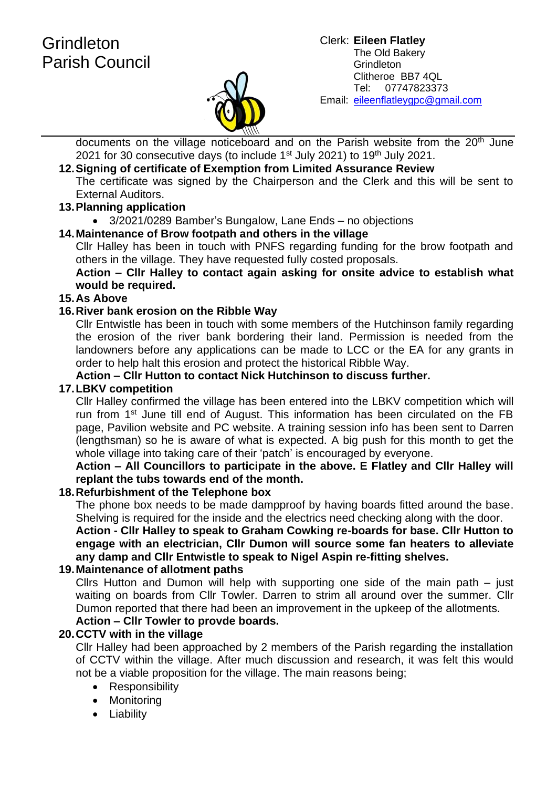# **Grindleton** Parish Council



#### Clerk: **Eileen Flatley** The Old Bakery **Grindleton** Clitheroe BB7 4QL Tel: 07747823373 Email: eileenflatleygpc@gmail.com

documents on the village noticeboard and on the Parish website from the 20<sup>th</sup> June 2021 for 30 consecutive days (to include  $1<sup>st</sup>$  July 2021) to  $19<sup>th</sup>$  July 2021.

## **12.Signing of certificate of Exemption from Limited Assurance Review**

The certificate was signed by the Chairperson and the Clerk and this will be sent to External Auditors.

#### **13.Planning application**

• 3/2021/0289 Bamber's Bungalow, Lane Ends – no objections

#### **14.Maintenance of Brow footpath and others in the village**

Cllr Halley has been in touch with PNFS regarding funding for the brow footpath and others in the village. They have requested fully costed proposals.

#### **Action – Cllr Halley to contact again asking for onsite advice to establish what would be required.**

#### **15.As Above**

#### **16.River bank erosion on the Ribble Way**

Cllr Entwistle has been in touch with some members of the Hutchinson family regarding the erosion of the river bank bordering their land. Permission is needed from the landowners before any applications can be made to LCC or the EA for any grants in order to help halt this erosion and protect the historical Ribble Way.

#### **Action – Cllr Hutton to contact Nick Hutchinson to discuss further.**

#### **17.LBKV competition**

Cllr Halley confirmed the village has been entered into the LBKV competition which will run from 1<sup>st</sup> June till end of August. This information has been circulated on the FB page, Pavilion website and PC website. A training session info has been sent to Darren (lengthsman) so he is aware of what is expected. A big push for this month to get the whole village into taking care of their 'patch' is encouraged by everyone.

#### **Action – All Councillors to participate in the above. E Flatley and Cllr Halley will replant the tubs towards end of the month.**

#### **18.Refurbishment of the Telephone box**

The phone box needs to be made dampproof by having boards fitted around the base. Shelving is required for the inside and the electrics need checking along with the door.

**Action - Cllr Halley to speak to Graham Cowking re-boards for base. Cllr Hutton to engage with an electrician, Cllr Dumon will source some fan heaters to alleviate any damp and Cllr Entwistle to speak to Nigel Aspin re-fitting shelves.** 

#### **19.Maintenance of allotment paths**

Cllrs Hutton and Dumon will help with supporting one side of the main path – just waiting on boards from Cllr Towler. Darren to strim all around over the summer. Cllr Dumon reported that there had been an improvement in the upkeep of the allotments.

## **Action – Cllr Towler to provde boards.**

#### **20.CCTV with in the village**

Cllr Halley had been approached by 2 members of the Parish regarding the installation of CCTV within the village. After much discussion and research, it was felt this would not be a viable proposition for the village. The main reasons being;

- Responsibility
- Monitoring
- Liability